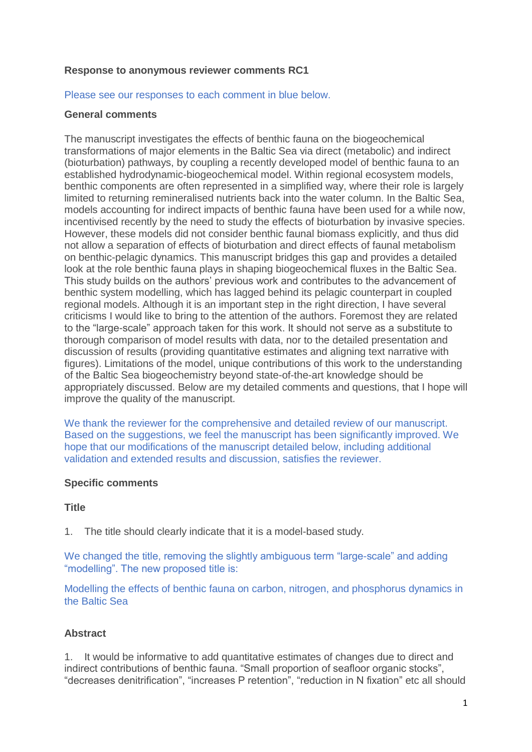### **Response to anonymous reviewer comments RC1**

#### Please see our responses to each comment in blue below.

#### **General comments**

The manuscript investigates the effects of benthic fauna on the biogeochemical transformations of major elements in the Baltic Sea via direct (metabolic) and indirect (bioturbation) pathways, by coupling a recently developed model of benthic fauna to an established hydrodynamic-biogeochemical model. Within regional ecosystem models, benthic components are often represented in a simplified way, where their role is largely limited to returning remineralised nutrients back into the water column. In the Baltic Sea, models accounting for indirect impacts of benthic fauna have been used for a while now, incentivised recently by the need to study the effects of bioturbation by invasive species. However, these models did not consider benthic faunal biomass explicitly, and thus did not allow a separation of effects of bioturbation and direct effects of faunal metabolism on benthic-pelagic dynamics. This manuscript bridges this gap and provides a detailed look at the role benthic fauna plays in shaping biogeochemical fluxes in the Baltic Sea. This study builds on the authors' previous work and contributes to the advancement of benthic system modelling, which has lagged behind its pelagic counterpart in coupled regional models. Although it is an important step in the right direction, I have several criticisms I would like to bring to the attention of the authors. Foremost they are related to the "large-scale" approach taken for this work. It should not serve as a substitute to thorough comparison of model results with data, nor to the detailed presentation and discussion of results (providing quantitative estimates and aligning text narrative with figures). Limitations of the model, unique contributions of this work to the understanding of the Baltic Sea biogeochemistry beyond state-of-the-art knowledge should be appropriately discussed. Below are my detailed comments and questions, that I hope will improve the quality of the manuscript.

We thank the reviewer for the comprehensive and detailed review of our manuscript. Based on the suggestions, we feel the manuscript has been significantly improved. We hope that our modifications of the manuscript detailed below, including additional validation and extended results and discussion, satisfies the reviewer.

### **Specific comments**

#### **Title**

1. The title should clearly indicate that it is a model-based study.

We changed the title, removing the slightly ambiguous term "large-scale" and adding "modelling". The new proposed title is:

Modelling the effects of benthic fauna on carbon, nitrogen, and phosphorus dynamics in the Baltic Sea

### **Abstract**

1. It would be informative to add quantitative estimates of changes due to direct and indirect contributions of benthic fauna. "Small proportion of seafloor organic stocks", "decreases denitrification", "increases P retention", "reduction in N fixation" etc all should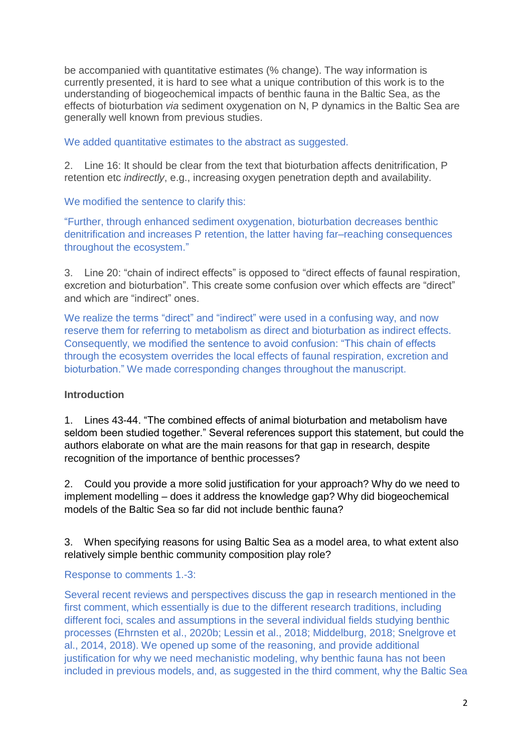be accompanied with quantitative estimates (% change). The way information is currently presented, it is hard to see what a unique contribution of this work is to the understanding of biogeochemical impacts of benthic fauna in the Baltic Sea, as the effects of bioturbation *via* sediment oxygenation on N, P dynamics in the Baltic Sea are generally well known from previous studies.

We added quantitative estimates to the abstract as suggested.

2. Line 16: It should be clear from the text that bioturbation affects denitrification, P retention etc *indirectly*, e.g., increasing oxygen penetration depth and availability.

We modified the sentence to clarify this:

"Further, through enhanced sediment oxygenation, bioturbation decreases benthic denitrification and increases P retention, the latter having far–reaching consequences throughout the ecosystem."

3. Line 20: "chain of indirect effects" is opposed to "direct effects of faunal respiration, excretion and bioturbation". This create some confusion over which effects are "direct" and which are "indirect" ones.

We realize the terms "direct" and "indirect" were used in a confusing way, and now reserve them for referring to metabolism as direct and bioturbation as indirect effects. Consequently, we modified the sentence to avoid confusion: "This chain of effects through the ecosystem overrides the local effects of faunal respiration, excretion and bioturbation." We made corresponding changes throughout the manuscript.

# **Introduction**

1. Lines 43-44. "The combined effects of animal bioturbation and metabolism have seldom been studied together." Several references support this statement, but could the authors elaborate on what are the main reasons for that gap in research, despite recognition of the importance of benthic processes?

2. Could you provide a more solid justification for your approach? Why do we need to implement modelling – does it address the knowledge gap? Why did biogeochemical models of the Baltic Sea so far did not include benthic fauna?

3. When specifying reasons for using Baltic Sea as a model area, to what extent also relatively simple benthic community composition play role?

# Response to comments 1.-3:

Several recent reviews and perspectives discuss the gap in research mentioned in the first comment, which essentially is due to the different research traditions, including different foci, scales and assumptions in the several individual fields studying benthic processes (Ehrnsten et al., 2020b; Lessin et al., 2018; Middelburg, 2018; Snelgrove et al., 2014, 2018). We opened up some of the reasoning, and provide additional justification for why we need mechanistic modeling, why benthic fauna has not been included in previous models, and, as suggested in the third comment, why the Baltic Sea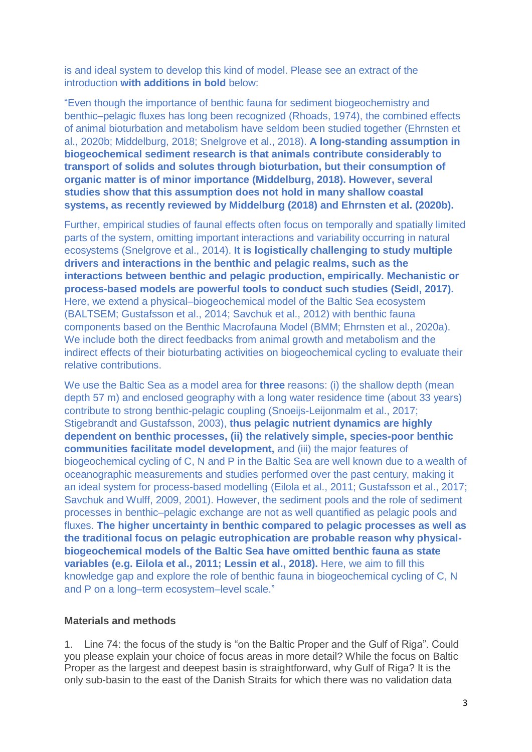is and ideal system to develop this kind of model. Please see an extract of the introduction **with additions in bold** below:

"Even though the importance of benthic fauna for sediment biogeochemistry and benthic–pelagic fluxes has long been recognized (Rhoads, 1974), the combined effects of animal bioturbation and metabolism have seldom been studied together (Ehrnsten et al., 2020b; Middelburg, 2018; Snelgrove et al., 2018). **A long-standing assumption in biogeochemical sediment research is that animals contribute considerably to transport of solids and solutes through bioturbation, but their consumption of organic matter is of minor importance (Middelburg, 2018). However, several studies show that this assumption does not hold in many shallow coastal systems, as recently reviewed by Middelburg (2018) and Ehrnsten et al. (2020b).**

Further, empirical studies of faunal effects often focus on temporally and spatially limited parts of the system, omitting important interactions and variability occurring in natural ecosystems (Snelgrove et al., 2014). **It is logistically challenging to study multiple drivers and interactions in the benthic and pelagic realms, such as the interactions between benthic and pelagic production, empirically. Mechanistic or process-based models are powerful tools to conduct such studies (Seidl, 2017).** Here, we extend a physical–biogeochemical model of the Baltic Sea ecosystem (BALTSEM; Gustafsson et al., 2014; Savchuk et al., 2012) with benthic fauna components based on the Benthic Macrofauna Model (BMM; Ehrnsten et al., 2020a). We include both the direct feedbacks from animal growth and metabolism and the indirect effects of their bioturbating activities on biogeochemical cycling to evaluate their relative contributions.

We use the Baltic Sea as a model area for **three** reasons: (i) the shallow depth (mean depth 57 m) and enclosed geography with a long water residence time (about 33 years) contribute to strong benthic-pelagic coupling (Snoeijs-Leijonmalm et al., 2017; Stigebrandt and Gustafsson, 2003), **thus pelagic nutrient dynamics are highly dependent on benthic processes, (ii) the relatively simple, species-poor benthic communities facilitate model development,** and (iii) the major features of biogeochemical cycling of C, N and P in the Baltic Sea are well known due to a wealth of oceanographic measurements and studies performed over the past century, making it an ideal system for process-based modelling (Eilola et al., 2011; Gustafsson et al., 2017; Savchuk and Wulff, 2009, 2001). However, the sediment pools and the role of sediment processes in benthic–pelagic exchange are not as well quantified as pelagic pools and fluxes. **The higher uncertainty in benthic compared to pelagic processes as well as the traditional focus on pelagic eutrophication are probable reason why physicalbiogeochemical models of the Baltic Sea have omitted benthic fauna as state variables (e.g. Eilola et al., 2011; Lessin et al., 2018).** Here, we aim to fill this knowledge gap and explore the role of benthic fauna in biogeochemical cycling of C, N and P on a long–term ecosystem–level scale."

### **Materials and methods**

1. Line 74: the focus of the study is "on the Baltic Proper and the Gulf of Riga". Could you please explain your choice of focus areas in more detail? While the focus on Baltic Proper as the largest and deepest basin is straightforward, why Gulf of Riga? It is the only sub-basin to the east of the Danish Straits for which there was no validation data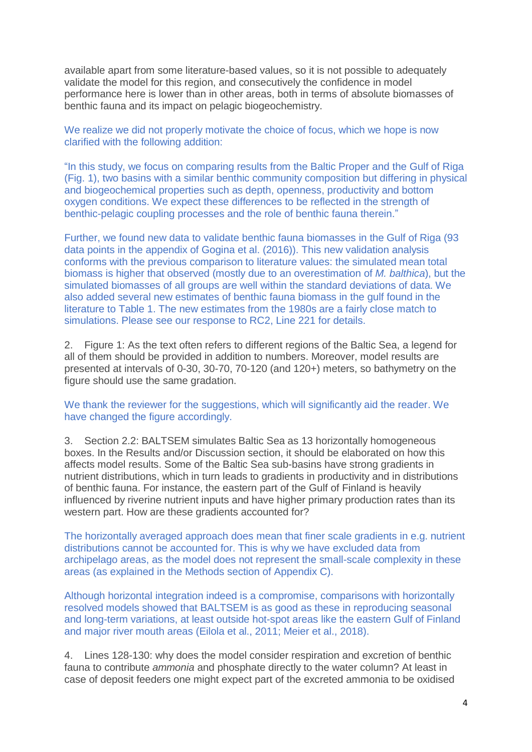available apart from some literature-based values, so it is not possible to adequately validate the model for this region, and consecutively the confidence in model performance here is lower than in other areas, both in terms of absolute biomasses of benthic fauna and its impact on pelagic biogeochemistry.

We realize we did not properly motivate the choice of focus, which we hope is now clarified with the following addition:

"In this study, we focus on comparing results from the Baltic Proper and the Gulf of Riga (Fig. 1), two basins with a similar benthic community composition but differing in physical and biogeochemical properties such as depth, openness, productivity and bottom oxygen conditions. We expect these differences to be reflected in the strength of benthic-pelagic coupling processes and the role of benthic fauna therein."

Further, we found new data to validate benthic fauna biomasses in the Gulf of Riga (93 data points in the appendix of Gogina et al. (2016)). This new validation analysis conforms with the previous comparison to literature values: the simulated mean total biomass is higher that observed (mostly due to an overestimation of *M. balthica*), but the simulated biomasses of all groups are well within the standard deviations of data. We also added several new estimates of benthic fauna biomass in the gulf found in the literature to Table 1. The new estimates from the 1980s are a fairly close match to simulations. Please see our response to RC2, Line 221 for details.

2. Figure 1: As the text often refers to different regions of the Baltic Sea, a legend for all of them should be provided in addition to numbers. Moreover, model results are presented at intervals of 0-30, 30-70, 70-120 (and 120+) meters, so bathymetry on the figure should use the same gradation.

We thank the reviewer for the suggestions, which will significantly aid the reader. We have changed the figure accordingly.

3. Section 2.2: BALTSEM simulates Baltic Sea as 13 horizontally homogeneous boxes. In the Results and/or Discussion section, it should be elaborated on how this affects model results. Some of the Baltic Sea sub-basins have strong gradients in nutrient distributions, which in turn leads to gradients in productivity and in distributions of benthic fauna. For instance, the eastern part of the Gulf of Finland is heavily influenced by riverine nutrient inputs and have higher primary production rates than its western part. How are these gradients accounted for?

The horizontally averaged approach does mean that finer scale gradients in e.g. nutrient distributions cannot be accounted for. This is why we have excluded data from archipelago areas, as the model does not represent the small-scale complexity in these areas (as explained in the Methods section of Appendix C).

Although horizontal integration indeed is a compromise, comparisons with horizontally resolved models showed that BALTSEM is as good as these in reproducing seasonal and long-term variations, at least outside hot-spot areas like the eastern Gulf of Finland and major river mouth areas (Eilola et al., 2011; Meier et al., 2018).

4. Lines 128-130: why does the model consider respiration and excretion of benthic fauna to contribute *ammonia* and phosphate directly to the water column? At least in case of deposit feeders one might expect part of the excreted ammonia to be oxidised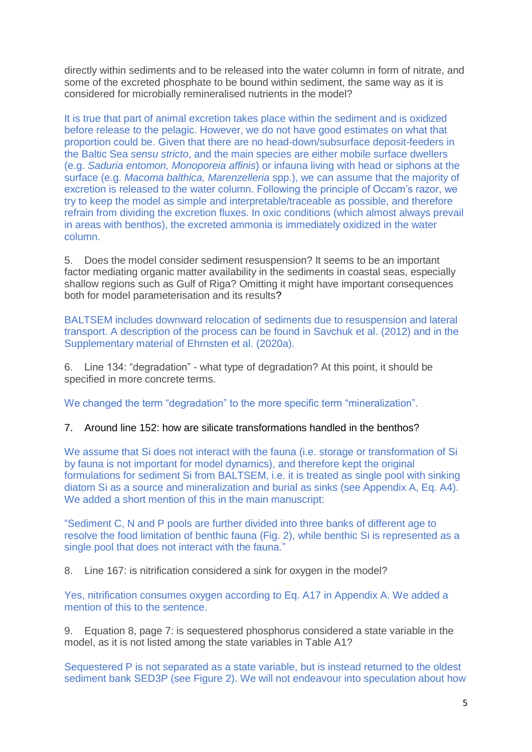directly within sediments and to be released into the water column in form of nitrate, and some of the excreted phosphate to be bound within sediment, the same way as it is considered for microbially remineralised nutrients in the model?

It is true that part of animal excretion takes place within the sediment and is oxidized before release to the pelagic. However, we do not have good estimates on what that proportion could be. Given that there are no head-down/subsurface deposit-feeders in the Baltic Sea *sensu stricto*, and the main species are either mobile surface dwellers (e.g. *Saduria entomon, Monoporeia affinis*) or infauna living with head or siphons at the surface (e.g. *Macoma balthica, Marenzelleria* spp.), we can assume that the majority of excretion is released to the water column. Following the principle of Occam's razor, we try to keep the model as simple and interpretable/traceable as possible, and therefore refrain from dividing the excretion fluxes. In oxic conditions (which almost always prevail in areas with benthos), the excreted ammonia is immediately oxidized in the water column.

5. Does the model consider sediment resuspension? It seems to be an important factor mediating organic matter availability in the sediments in coastal seas, especially shallow regions such as Gulf of Riga? Omitting it might have important consequences both for model parameterisation and its results?

BALTSEM includes downward relocation of sediments due to resuspension and lateral transport. A description of the process can be found in Savchuk et al. (2012) and in the Supplementary material of Ehrnsten et al. (2020a).

6. Line 134: "degradation" - what type of degradation? At this point, it should be specified in more concrete terms.

We changed the term "degradation" to the more specific term "mineralization".

# 7. Around line 152: how are silicate transformations handled in the benthos?

We assume that Si does not interact with the fauna (i.e. storage or transformation of Si by fauna is not important for model dynamics), and therefore kept the original formulations for sediment Si from BALTSEM, i.e. it is treated as single pool with sinking diatom Si as a source and mineralization and burial as sinks (see Appendix A, Eq. A4). We added a short mention of this in the main manuscript:

"Sediment C, N and P pools are further divided into three banks of different age to resolve the food limitation of benthic fauna (Fig. 2), while benthic Si is represented as a single pool that does not interact with the fauna."

8. Line 167: is nitrification considered a sink for oxygen in the model?

Yes, nitrification consumes oxygen according to Eq. A17 in Appendix A. We added a mention of this to the sentence.

9. Equation 8, page 7: is sequestered phosphorus considered a state variable in the model, as it is not listed among the state variables in Table A1?

Sequestered P is not separated as a state variable, but is instead returned to the oldest sediment bank SED3P (see Figure 2). We will not endeavour into speculation about how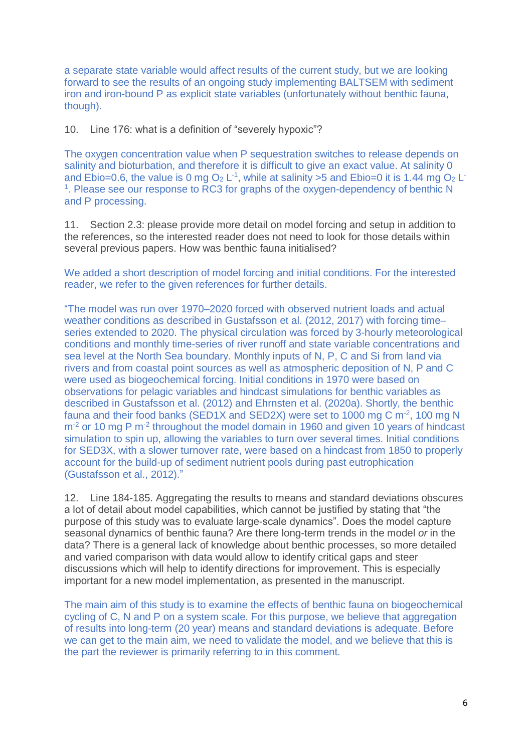a separate state variable would affect results of the current study, but we are looking forward to see the results of an ongoing study implementing BALTSEM with sediment iron and iron-bound P as explicit state variables (unfortunately without benthic fauna, though).

10. Line 176: what is a definition of "severely hypoxic"?

The oxygen concentration value when P sequestration switches to release depends on salinity and bioturbation, and therefore it is difficult to give an exact value. At salinity 0 and Ebio=0.6, the value is 0 mg  $O_2$  L<sup>-1</sup>, while at salinity >5 and Ebio=0 it is 1.44 mg  $O_2$  L<sup>-</sup> <sup>1</sup>. Please see our response to RC3 for graphs of the oxygen-dependency of benthic N and P processing.

11. Section 2.3: please provide more detail on model forcing and setup in addition to the references, so the interested reader does not need to look for those details within several previous papers. How was benthic fauna initialised?

We added a short description of model forcing and initial conditions. For the interested reader, we refer to the given references for further details.

"The model was run over 1970–2020 forced with observed nutrient loads and actual weather conditions as described in Gustafsson et al. (2012, 2017) with forcing time– series extended to 2020. The physical circulation was forced by 3-hourly meteorological conditions and monthly time-series of river runoff and state variable concentrations and sea level at the North Sea boundary. Monthly inputs of N, P, C and Si from land via rivers and from coastal point sources as well as atmospheric deposition of N, P and C were used as biogeochemical forcing. Initial conditions in 1970 were based on observations for pelagic variables and hindcast simulations for benthic variables as described in Gustafsson et al. (2012) and Ehrnsten et al. (2020a). Shortly, the benthic fauna and their food banks (SED1X and SED2X) were set to 1000 mg C m $^{-2}$ , 100 mg N m<sup>-2</sup> or 10 mg P m<sup>-2</sup> throughout the model domain in 1960 and given 10 years of hindcast simulation to spin up, allowing the variables to turn over several times. Initial conditions for SED3X, with a slower turnover rate, were based on a hindcast from 1850 to properly account for the build-up of sediment nutrient pools during past eutrophication (Gustafsson et al., 2012)."

12. Line 184-185. Aggregating the results to means and standard deviations obscures a lot of detail about model capabilities, which cannot be justified by stating that "the purpose of this study was to evaluate large-scale dynamics". Does the model capture seasonal dynamics of benthic fauna? Are there long-term trends in the model *or* in the data? There is a general lack of knowledge about benthic processes, so more detailed and varied comparison with data would allow to identify critical gaps and steer discussions which will help to identify directions for improvement. This is especially important for a new model implementation, as presented in the manuscript.

The main aim of this study is to examine the effects of benthic fauna on biogeochemical cycling of C, N and P on a system scale. For this purpose, we believe that aggregation of results into long-term (20 year) means and standard deviations is adequate. Before we can get to the main aim, we need to validate the model, and we believe that this is the part the reviewer is primarily referring to in this comment.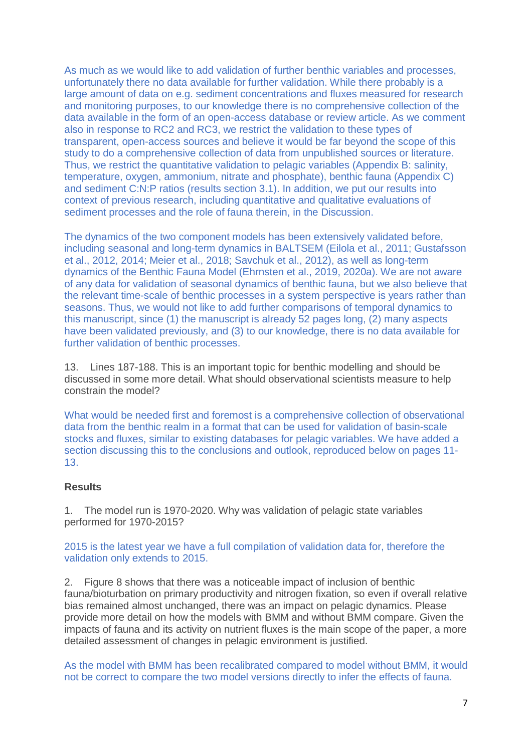As much as we would like to add validation of further benthic variables and processes, unfortunately there no data available for further validation. While there probably is a large amount of data on e.g. sediment concentrations and fluxes measured for research and monitoring purposes, to our knowledge there is no comprehensive collection of the data available in the form of an open-access database or review article. As we comment also in response to RC2 and RC3, we restrict the validation to these types of transparent, open-access sources and believe it would be far beyond the scope of this study to do a comprehensive collection of data from unpublished sources or literature. Thus, we restrict the quantitative validation to pelagic variables (Appendix B: salinity, temperature, oxygen, ammonium, nitrate and phosphate), benthic fauna (Appendix C) and sediment C:N:P ratios (results section 3.1). In addition, we put our results into context of previous research, including quantitative and qualitative evaluations of sediment processes and the role of fauna therein, in the Discussion.

The dynamics of the two component models has been extensively validated before, including seasonal and long-term dynamics in BALTSEM (Eilola et al., 2011; Gustafsson et al., 2012, 2014; Meier et al., 2018; Savchuk et al., 2012), as well as long-term dynamics of the Benthic Fauna Model (Ehrnsten et al., 2019, 2020a). We are not aware of any data for validation of seasonal dynamics of benthic fauna, but we also believe that the relevant time-scale of benthic processes in a system perspective is years rather than seasons. Thus, we would not like to add further comparisons of temporal dynamics to this manuscript, since (1) the manuscript is already 52 pages long, (2) many aspects have been validated previously, and (3) to our knowledge, there is no data available for further validation of benthic processes.

13. Lines 187-188. This is an important topic for benthic modelling and should be discussed in some more detail. What should observational scientists measure to help constrain the model?

What would be needed first and foremost is a comprehensive collection of observational data from the benthic realm in a format that can be used for validation of basin-scale stocks and fluxes, similar to existing databases for pelagic variables. We have added a section discussing this to the conclusions and outlook, reproduced below on pages 11- 13.

### **Results**

1. The model run is 1970-2020. Why was validation of pelagic state variables performed for 1970-2015?

2015 is the latest year we have a full compilation of validation data for, therefore the validation only extends to 2015.

2. Figure 8 shows that there was a noticeable impact of inclusion of benthic fauna/bioturbation on primary productivity and nitrogen fixation, so even if overall relative bias remained almost unchanged, there was an impact on pelagic dynamics. Please provide more detail on how the models with BMM and without BMM compare. Given the impacts of fauna and its activity on nutrient fluxes is the main scope of the paper, a more detailed assessment of changes in pelagic environment is justified.

As the model with BMM has been recalibrated compared to model without BMM, it would not be correct to compare the two model versions directly to infer the effects of fauna.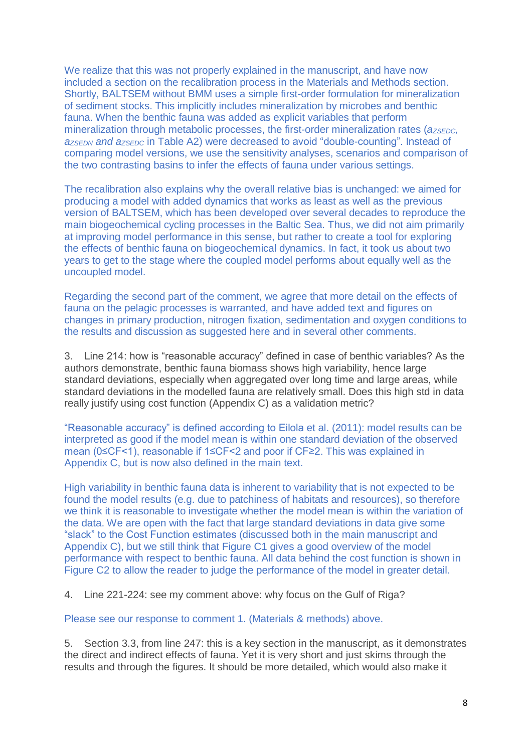We realize that this was not properly explained in the manuscript, and have now included a section on the recalibration process in the Materials and Methods section. Shortly, BALTSEM without BMM uses a simple first-order formulation for mineralization of sediment stocks. This implicitly includes mineralization by microbes and benthic fauna. When the benthic fauna was added as explicit variables that perform mineralization through metabolic processes, the first-order mineralization rates ( $a_{ZSEDC}$ *aZSEDN and aZSEDC* in Table A2) were decreased to avoid "double-counting". Instead of comparing model versions, we use the sensitivity analyses, scenarios and comparison of the two contrasting basins to infer the effects of fauna under various settings.

The recalibration also explains why the overall relative bias is unchanged: we aimed for producing a model with added dynamics that works as least as well as the previous version of BALTSEM, which has been developed over several decades to reproduce the main biogeochemical cycling processes in the Baltic Sea. Thus, we did not aim primarily at improving model performance in this sense, but rather to create a tool for exploring the effects of benthic fauna on biogeochemical dynamics. In fact, it took us about two years to get to the stage where the coupled model performs about equally well as the uncoupled model.

Regarding the second part of the comment, we agree that more detail on the effects of fauna on the pelagic processes is warranted, and have added text and figures on changes in primary production, nitrogen fixation, sedimentation and oxygen conditions to the results and discussion as suggested here and in several other comments.

3. Line 214: how is "reasonable accuracy" defined in case of benthic variables? As the authors demonstrate, benthic fauna biomass shows high variability, hence large standard deviations, especially when aggregated over long time and large areas, while standard deviations in the modelled fauna are relatively small. Does this high std in data really justify using cost function (Appendix C) as a validation metric?

"Reasonable accuracy" is defined according to Eilola et al. (2011): model results can be interpreted as good if the model mean is within one standard deviation of the observed mean (0≤CF<1), reasonable if 1≤CF<2 and poor if CF≥2. This was explained in Appendix C, but is now also defined in the main text.

High variability in benthic fauna data is inherent to variability that is not expected to be found the model results (e.g. due to patchiness of habitats and resources), so therefore we think it is reasonable to investigate whether the model mean is within the variation of the data. We are open with the fact that large standard deviations in data give some "slack" to the Cost Function estimates (discussed both in the main manuscript and Appendix C), but we still think that Figure C1 gives a good overview of the model performance with respect to benthic fauna. All data behind the cost function is shown in Figure C2 to allow the reader to judge the performance of the model in greater detail.

4. Line 221-224: see my comment above: why focus on the Gulf of Riga?

Please see our response to comment 1. (Materials & methods) above.

5. Section 3.3, from line 247: this is a key section in the manuscript, as it demonstrates the direct and indirect effects of fauna. Yet it is very short and just skims through the results and through the figures. It should be more detailed, which would also make it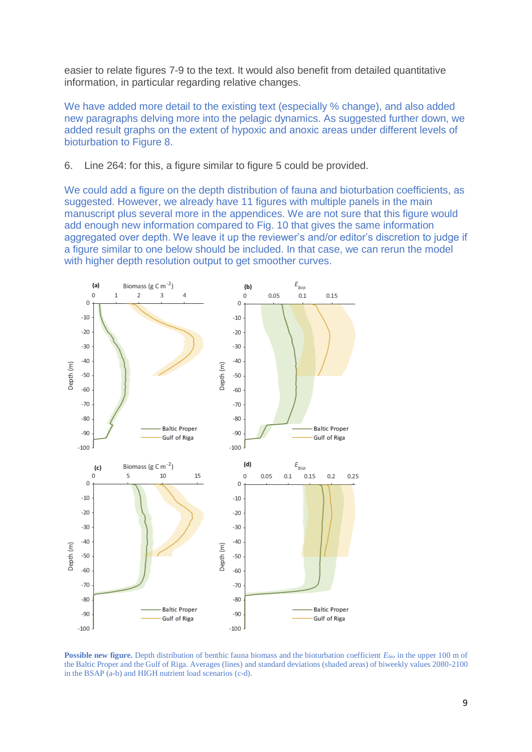easier to relate figures 7-9 to the text. It would also benefit from detailed quantitative information, in particular regarding relative changes.

We have added more detail to the existing text (especially % change), and also added new paragraphs delving more into the pelagic dynamics. As suggested further down, we added result graphs on the extent of hypoxic and anoxic areas under different levels of bioturbation to Figure 8.

6. Line 264: for this, a figure similar to figure 5 could be provided.

We could add a figure on the depth distribution of fauna and bioturbation coefficients, as suggested. However, we already have 11 figures with multiple panels in the main manuscript plus several more in the appendices. We are not sure that this figure would add enough new information compared to Fig. 10 that gives the same information aggregated over depth. We leave it up the reviewer's and/or editor's discretion to judge if a figure similar to one below should be included. In that case, we can rerun the model with higher depth resolution output to get smoother curves.



**Possible new figure.** Depth distribution of benthic fauna biomass and the bioturbation coefficient *Ebio* in the upper 100 m of the Baltic Proper and the Gulf of Riga. Averages (lines) and standard deviations (shaded areas) of biweekly values 2080-2100 in the BSAP (a-b) and HIGH nutrient load scenarios (c-d).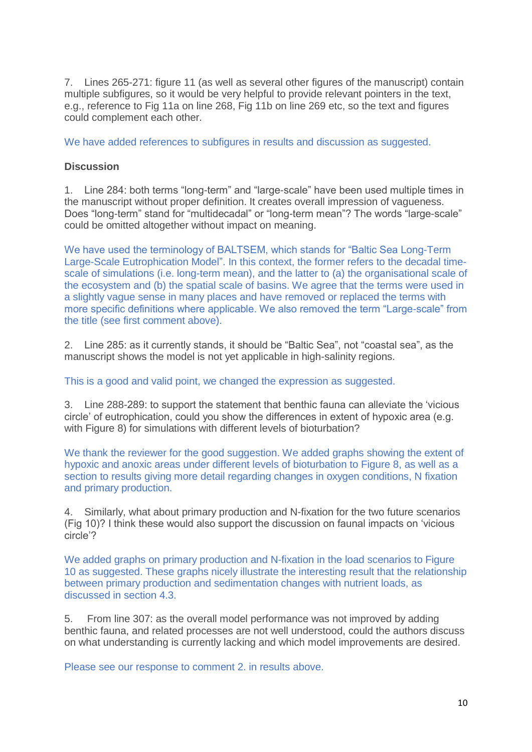7. Lines 265-271: figure 11 (as well as several other figures of the manuscript) contain multiple subfigures, so it would be very helpful to provide relevant pointers in the text, e.g., reference to Fig 11a on line 268, Fig 11b on line 269 etc, so the text and figures could complement each other.

We have added references to subfigures in results and discussion as suggested.

### **Discussion**

1. Line 284: both terms "long-term" and "large-scale" have been used multiple times in the manuscript without proper definition. It creates overall impression of vagueness. Does "long-term" stand for "multidecadal" or "long-term mean"? The words "large-scale" could be omitted altogether without impact on meaning.

We have used the terminology of BALTSEM, which stands for "Baltic Sea Long-Term Large-Scale Eutrophication Model". In this context, the former refers to the decadal timescale of simulations (i.e. long-term mean), and the latter to (a) the organisational scale of the ecosystem and (b) the spatial scale of basins. We agree that the terms were used in a slightly vague sense in many places and have removed or replaced the terms with more specific definitions where applicable. We also removed the term "Large-scale" from the title (see first comment above).

2. Line 285: as it currently stands, it should be "Baltic Sea", not "coastal sea", as the manuscript shows the model is not yet applicable in high-salinity regions.

This is a good and valid point, we changed the expression as suggested.

3. Line 288-289: to support the statement that benthic fauna can alleviate the 'vicious circle' of eutrophication, could you show the differences in extent of hypoxic area (e.g. with Figure 8) for simulations with different levels of bioturbation?

We thank the reviewer for the good suggestion. We added graphs showing the extent of hypoxic and anoxic areas under different levels of bioturbation to Figure 8, as well as a section to results giving more detail regarding changes in oxygen conditions, N fixation and primary production.

4. Similarly, what about primary production and N-fixation for the two future scenarios (Fig 10)? I think these would also support the discussion on faunal impacts on 'vicious circle'?

We added graphs on primary production and N-fixation in the load scenarios to Figure 10 as suggested. These graphs nicely illustrate the interesting result that the relationship between primary production and sedimentation changes with nutrient loads, as discussed in section 4.3.

5. From line 307: as the overall model performance was not improved by adding benthic fauna, and related processes are not well understood, could the authors discuss on what understanding is currently lacking and which model improvements are desired.

Please see our response to comment 2. in results above.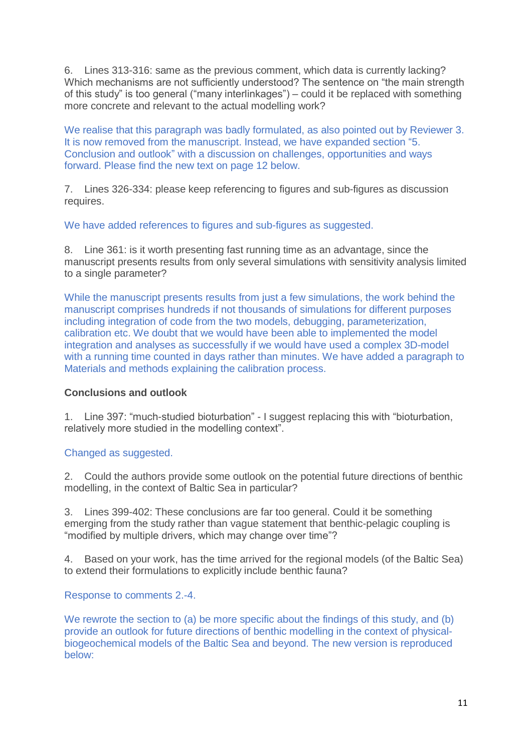6. Lines 313-316: same as the previous comment, which data is currently lacking? Which mechanisms are not sufficiently understood? The sentence on "the main strength of this study" is too general ("many interlinkages") – could it be replaced with something more concrete and relevant to the actual modelling work?

We realise that this paragraph was badly formulated, as also pointed out by Reviewer 3. It is now removed from the manuscript. Instead, we have expanded section "5. Conclusion and outlook" with a discussion on challenges, opportunities and ways forward. Please find the new text on page 12 below.

7. Lines 326-334: please keep referencing to figures and sub-figures as discussion requires.

We have added references to figures and sub-figures as suggested.

8. Line 361: is it worth presenting fast running time as an advantage, since the manuscript presents results from only several simulations with sensitivity analysis limited to a single parameter?

While the manuscript presents results from just a few simulations, the work behind the manuscript comprises hundreds if not thousands of simulations for different purposes including integration of code from the two models, debugging, parameterization, calibration etc. We doubt that we would have been able to implemented the model integration and analyses as successfully if we would have used a complex 3D-model with a running time counted in days rather than minutes. We have added a paragraph to Materials and methods explaining the calibration process.

# **Conclusions and outlook**

1. Line 397: "much-studied bioturbation" - I suggest replacing this with "bioturbation, relatively more studied in the modelling context".

# Changed as suggested.

2. Could the authors provide some outlook on the potential future directions of benthic modelling, in the context of Baltic Sea in particular?

3. Lines 399-402: These conclusions are far too general. Could it be something emerging from the study rather than vague statement that benthic-pelagic coupling is "modified by multiple drivers, which may change over time"?

4. Based on your work, has the time arrived for the regional models (of the Baltic Sea) to extend their formulations to explicitly include benthic fauna?

Response to comments 2.-4.

We rewrote the section to (a) be more specific about the findings of this study, and (b) provide an outlook for future directions of benthic modelling in the context of physicalbiogeochemical models of the Baltic Sea and beyond. The new version is reproduced below: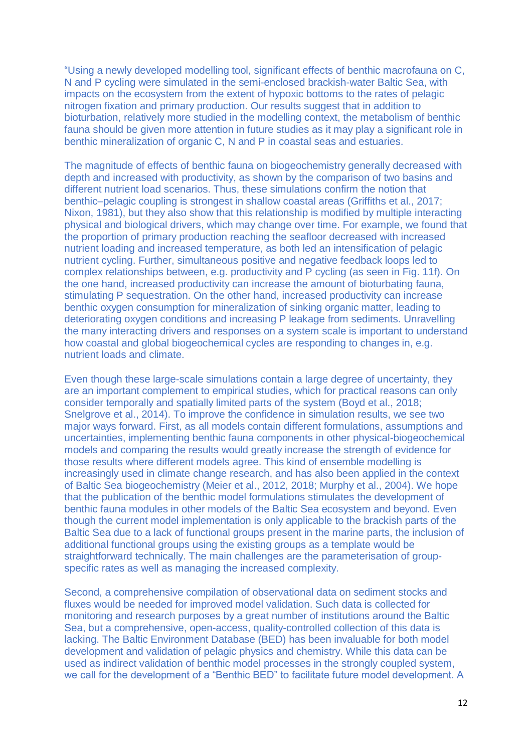"Using a newly developed modelling tool, significant effects of benthic macrofauna on C, N and P cycling were simulated in the semi-enclosed brackish-water Baltic Sea, with impacts on the ecosystem from the extent of hypoxic bottoms to the rates of pelagic nitrogen fixation and primary production. Our results suggest that in addition to bioturbation, relatively more studied in the modelling context, the metabolism of benthic fauna should be given more attention in future studies as it may play a significant role in benthic mineralization of organic C, N and P in coastal seas and estuaries.

The magnitude of effects of benthic fauna on biogeochemistry generally decreased with depth and increased with productivity, as shown by the comparison of two basins and different nutrient load scenarios. Thus, these simulations confirm the notion that benthic–pelagic coupling is strongest in shallow coastal areas (Griffiths et al., 2017; Nixon, 1981), but they also show that this relationship is modified by multiple interacting physical and biological drivers, which may change over time. For example, we found that the proportion of primary production reaching the seafloor decreased with increased nutrient loading and increased temperature, as both led an intensification of pelagic nutrient cycling. Further, simultaneous positive and negative feedback loops led to complex relationships between, e.g. productivity and P cycling (as seen in Fig. 11f). On the one hand, increased productivity can increase the amount of bioturbating fauna, stimulating P sequestration. On the other hand, increased productivity can increase benthic oxygen consumption for mineralization of sinking organic matter, leading to deteriorating oxygen conditions and increasing P leakage from sediments. Unravelling the many interacting drivers and responses on a system scale is important to understand how coastal and global biogeochemical cycles are responding to changes in, e.g. nutrient loads and climate.

Even though these large-scale simulations contain a large degree of uncertainty, they are an important complement to empirical studies, which for practical reasons can only consider temporally and spatially limited parts of the system (Boyd et al., 2018; Snelgrove et al., 2014). To improve the confidence in simulation results, we see two major ways forward. First, as all models contain different formulations, assumptions and uncertainties, implementing benthic fauna components in other physical-biogeochemical models and comparing the results would greatly increase the strength of evidence for those results where different models agree. This kind of ensemble modelling is increasingly used in climate change research, and has also been applied in the context of Baltic Sea biogeochemistry (Meier et al., 2012, 2018; Murphy et al., 2004). We hope that the publication of the benthic model formulations stimulates the development of benthic fauna modules in other models of the Baltic Sea ecosystem and beyond. Even though the current model implementation is only applicable to the brackish parts of the Baltic Sea due to a lack of functional groups present in the marine parts, the inclusion of additional functional groups using the existing groups as a template would be straightforward technically. The main challenges are the parameterisation of groupspecific rates as well as managing the increased complexity.

Second, a comprehensive compilation of observational data on sediment stocks and fluxes would be needed for improved model validation. Such data is collected for monitoring and research purposes by a great number of institutions around the Baltic Sea, but a comprehensive, open-access, quality-controlled collection of this data is lacking. The Baltic Environment Database (BED) has been invaluable for both model development and validation of pelagic physics and chemistry. While this data can be used as indirect validation of benthic model processes in the strongly coupled system, we call for the development of a "Benthic BED" to facilitate future model development. A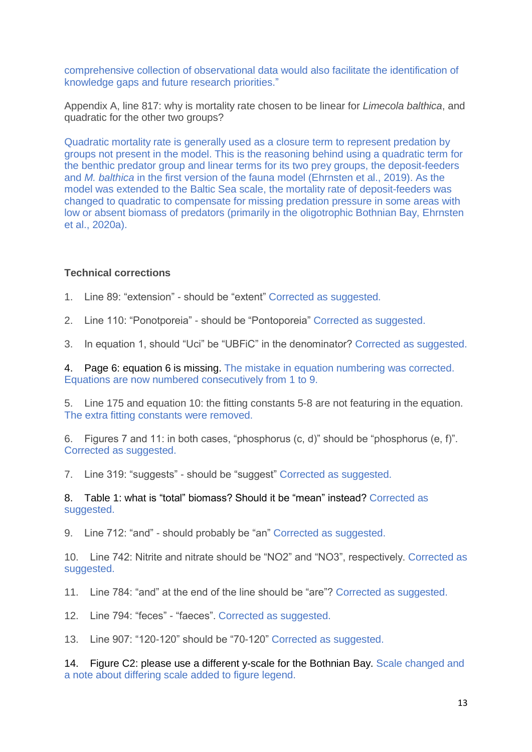comprehensive collection of observational data would also facilitate the identification of knowledge gaps and future research priorities."

Appendix A, line 817: why is mortality rate chosen to be linear for *Limecola balthica*, and quadratic for the other two groups?

Quadratic mortality rate is generally used as a closure term to represent predation by groups not present in the model. This is the reasoning behind using a quadratic term for the benthic predator group and linear terms for its two prey groups, the deposit-feeders and *M. balthica* in the first version of the fauna model (Ehrnsten et al., 2019). As the model was extended to the Baltic Sea scale, the mortality rate of deposit-feeders was changed to quadratic to compensate for missing predation pressure in some areas with low or absent biomass of predators (primarily in the oligotrophic Bothnian Bay, Ehrnsten et al., 2020a).

#### **Technical corrections**

1. Line 89: "extension" - should be "extent" Corrected as suggested.

- 2. Line 110: "Ponotporeia" should be "Pontoporeia" Corrected as suggested.
- 3. In equation 1, should "Uci" be "UBFiC" in the denominator? Corrected as suggested.

4. Page 6: equation 6 is missing. The mistake in equation numbering was corrected. Equations are now numbered consecutively from 1 to 9.

5. Line 175 and equation 10: the fitting constants 5-8 are not featuring in the equation. The extra fitting constants were removed.

6. Figures 7 and 11: in both cases, "phosphorus (c, d)" should be "phosphorus (e, f)". Corrected as suggested.

7. Line 319: "suggests" - should be "suggest" Corrected as suggested.

8. Table 1: what is "total" biomass? Should it be "mean" instead? Corrected as suggested.

9. Line 712: "and" - should probably be "an" Corrected as suggested.

10. Line 742: Nitrite and nitrate should be "NO2" and "NO3", respectively. Corrected as suggested.

11. Line 784: "and" at the end of the line should be "are"? Corrected as suggested.

12. Line 794: "feces" - "faeces". Corrected as suggested.

13. Line 907: "120-120" should be "70-120" Corrected as suggested.

14. Figure C2: please use a different y-scale for the Bothnian Bay. Scale changed and a note about differing scale added to figure legend.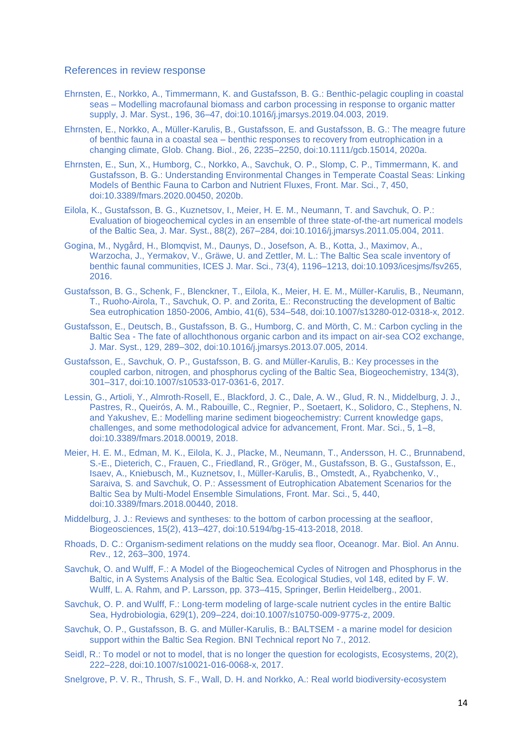#### References in review response

- Ehrnsten, E., Norkko, A., Timmermann, K. and Gustafsson, B. G.: Benthic-pelagic coupling in coastal seas – Modelling macrofaunal biomass and carbon processing in response to organic matter supply, J. Mar. Syst., 196, 36–47, doi:10.1016/j.jmarsys.2019.04.003, 2019.
- Ehrnsten, E., Norkko, A., Müller‐Karulis, B., Gustafsson, E. and Gustafsson, B. G.: The meagre future of benthic fauna in a coastal sea – benthic responses to recovery from eutrophication in a changing climate, Glob. Chang. Biol., 26, 2235–2250, doi:10.1111/gcb.15014, 2020a.
- Ehrnsten, E., Sun, X., Humborg, C., Norkko, A., Savchuk, O. P., Slomp, C. P., Timmermann, K. and Gustafsson, B. G.: Understanding Environmental Changes in Temperate Coastal Seas: Linking Models of Benthic Fauna to Carbon and Nutrient Fluxes, Front. Mar. Sci., 7, 450, doi:10.3389/fmars.2020.00450, 2020b.
- Eilola, K., Gustafsson, B. G., Kuznetsov, I., Meier, H. E. M., Neumann, T. and Savchuk, O. P.: Evaluation of biogeochemical cycles in an ensemble of three state-of-the-art numerical models of the Baltic Sea, J. Mar. Syst., 88(2), 267–284, doi:10.1016/j.jmarsys.2011.05.004, 2011.
- Gogina, M., Nygård, H., Blomqvist, M., Daunys, D., Josefson, A. B., Kotta, J., Maximov, A., Warzocha, J., Yermakov, V., Gräwe, U. and Zettler, M. L.: The Baltic Sea scale inventory of benthic faunal communities, ICES J. Mar. Sci., 73(4), 1196–1213, doi:10.1093/icesjms/fsv265, 2016.
- Gustafsson, B. G., Schenk, F., Blenckner, T., Eilola, K., Meier, H. E. M., Müller-Karulis, B., Neumann, T., Ruoho-Airola, T., Savchuk, O. P. and Zorita, E.: Reconstructing the development of Baltic Sea eutrophication 1850-2006, Ambio, 41(6), 534–548, doi:10.1007/s13280-012-0318-x, 2012.
- Gustafsson, E., Deutsch, B., Gustafsson, B. G., Humborg, C. and Mörth, C. M.: Carbon cycling in the Baltic Sea - The fate of allochthonous organic carbon and its impact on air-sea CO2 exchange, J. Mar. Syst., 129, 289–302, doi:10.1016/j.jmarsys.2013.07.005, 2014.
- Gustafsson, E., Savchuk, O. P., Gustafsson, B. G. and Müller-Karulis, B.: Key processes in the coupled carbon, nitrogen, and phosphorus cycling of the Baltic Sea, Biogeochemistry, 134(3), 301–317, doi:10.1007/s10533-017-0361-6, 2017.
- Lessin, G., Artioli, Y., Almroth-Rosell, E., Blackford, J. C., Dale, A. W., Glud, R. N., Middelburg, J. J., Pastres, R., Queirós, A. M., Rabouille, C., Regnier, P., Soetaert, K., Solidoro, C., Stephens, N. and Yakushev, E.: Modelling marine sediment biogeochemistry: Current knowledge gaps, challenges, and some methodological advice for advancement, Front. Mar. Sci., 5, 1–8, doi:10.3389/fmars.2018.00019, 2018.
- Meier, H. E. M., Edman, M. K., Eilola, K. J., Placke, M., Neumann, T., Andersson, H. C., Brunnabend, S.-E., Dieterich, C., Frauen, C., Friedland, R., Gröger, M., Gustafsson, B. G., Gustafsson, E., Isaev, A., Kniebusch, M., Kuznetsov, I., Müller-Karulis, B., Omstedt, A., Ryabchenko, V., Saraiva, S. and Savchuk, O. P.: Assessment of Eutrophication Abatement Scenarios for the Baltic Sea by Multi-Model Ensemble Simulations, Front. Mar. Sci., 5, 440, doi:10.3389/fmars.2018.00440, 2018.
- Middelburg, J. J.: Reviews and syntheses: to the bottom of carbon processing at the seafloor, Biogeosciences, 15(2), 413–427, doi:10.5194/bg-15-413-2018, 2018.
- Rhoads, D. C.: Organism-sediment relations on the muddy sea floor, Oceanogr. Mar. Biol. An Annu. Rev., 12, 263–300, 1974.
- Savchuk, O. and Wulff, F.: A Model of the Biogeochemical Cycles of Nitrogen and Phosphorus in the Baltic, in A Systems Analysis of the Baltic Sea. Ecological Studies, vol 148, edited by F. W. Wulff, L. A. Rahm, and P. Larsson, pp. 373–415, Springer, Berlin Heidelberg., 2001.
- Savchuk, O. P. and Wulff, F.: Long-term modeling of large-scale nutrient cycles in the entire Baltic Sea, Hydrobiologia, 629(1), 209–224, doi:10.1007/s10750-009-9775-z, 2009.
- Savchuk, O. P., Gustafsson, B. G. and Müller-Karulis, B.: BALTSEM a marine model for desicion support within the Baltic Sea Region. BNI Technical report No 7., 2012.
- Seidl, R.: To model or not to model, that is no longer the question for ecologists, Ecosystems, 20(2), 222–228, doi:10.1007/s10021-016-0068-x, 2017.
- Snelgrove, P. V. R., Thrush, S. F., Wall, D. H. and Norkko, A.: Real world biodiversity-ecosystem